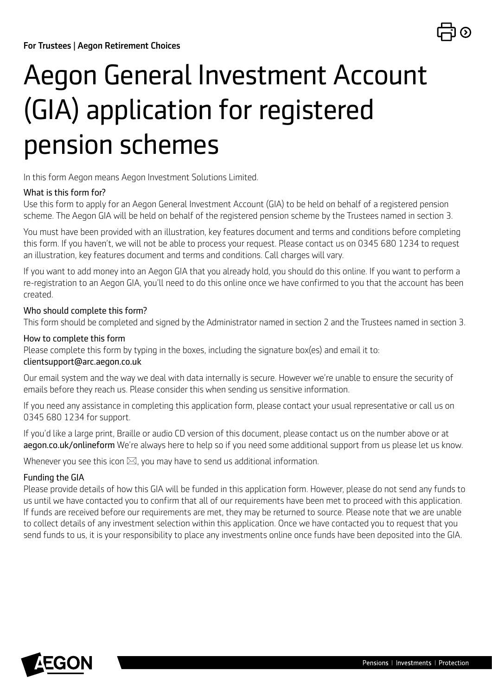

# Aegon General Investment Account (GIA) application for registered pension schemes

In this form Aegon means Aegon Investment Solutions Limited.

### What is this form for?

Use this form to apply for an Aegon General Investment Account (GIA) to be held on behalf of a registered pension scheme. The Aegon GIA will be held on behalf of the registered pension scheme by the Trustees named in section 3.

You must have been provided with an illustration, key features document and terms and conditions before completing this form. If you haven't, we will not be able to process your request. Please contact us on 0345 680 1234 to request an illustration, key features document and terms and conditions. Call charges will vary.

If you want to add money into an Aegon GIA that you already hold, you should do this online. If you want to perform a re-registration to an Aegon GIA, you'll need to do this online once we have confirmed to you that the account has been created.

### Who should complete this form?

This form should be completed and signed by the Administrator named in section 2 and the Trustees named in section 3.

#### How to complete this form

Please complete this form by typing in the boxes, including the signature box(es) and email it to: [clientsupport@arc.aegon.co.uk](mailto:clientsupport%40arc.aegon.co.uk?subject=)

Our email system and the way we deal with data internally is secure. However we're unable to ensure the security of emails before they reach us. Please consider this when sending us sensitive information.

If you need any assistance in completing this application form, please contact your usual representative or call us on 0345 680 1234 for support.

If you'd like a large print, Braille or audio CD version of this document, please contact us on the number above or at [aegon.co.uk/onlineform](http://aegon.co.uk/onlineform) We're always here to help so if you need some additional support from us please let us know.

Whenever you see this icon  $\boxtimes$ , you may have to send us additional information.

### Funding the GIA

Please provide details of how this GIA will be funded in this application form. However, please do not send any funds to us until we have contacted you to confirm that all of our requirements have been met to proceed with this application. If funds are received before our requirements are met, they may be returned to source. Please note that we are unable to collect details of any investment selection within this application. Once we have contacted you to request that you send funds to us, it is your responsibility to place any investments online once funds have been deposited into the GIA.

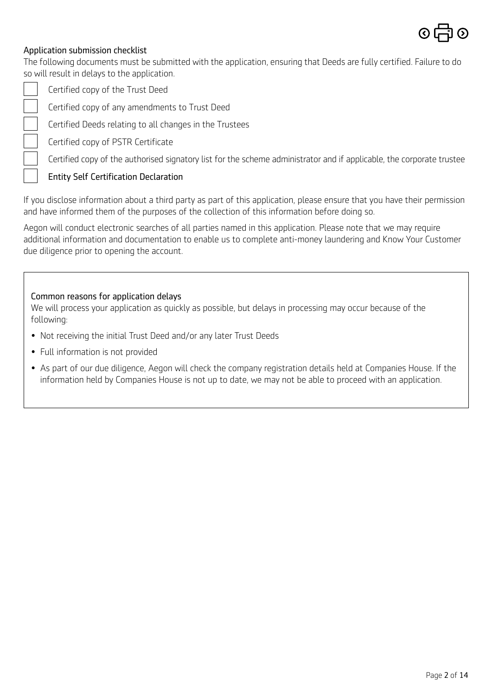

### Application submission checklist

The following documents must be submitted with the application, ensuring that Deeds are fully certified. Failure to do so will result in delays to the application.



Certified copy of the Trust Deed

Certified copy of any amendments to Trust Deed

Certified Deeds relating to all changes in the Trustees

Certified copy of PSTR Certificate

Certified copy of the authorised signatory list for the scheme administrator and if applicable, the corporate trustee

### [Entity Self Certification D](https://www.aegon.co.uk/content/dam/ukpaw/documents/entity-self-certification-declaration.pdf)eclaration

If you disclose information about a third party as part of this application, please ensure that you have their permission and have informed them of the purposes of the collection of this information before doing so.

Aegon will conduct electronic searches of all parties named in this application. Please note that we may require additional information and documentation to enable us to complete anti-money laundering and Know Your Customer due diligence prior to opening the account.

#### Common reasons for application delays

We will process your application as quickly as possible, but delays in processing may occur because of the following:

- Not receiving the initial Trust Deed and/or any later Trust Deeds
- Full information is not provided
- As part of our due diligence, Aegon will check the company registration details held at Companies House. If the information held by Companies House is not up to date, we may not be able to proceed with an application.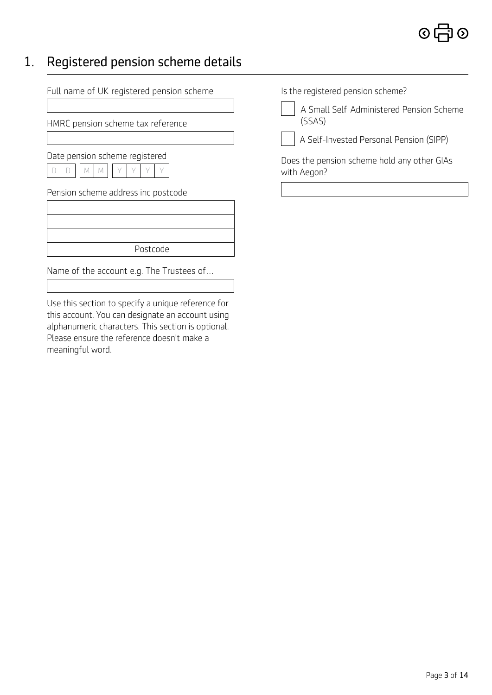### 1. Registered pension scheme details

Full name of UK registered pension scheme

HMRC pension scheme tax reference

Date pension scheme registered

|  |  |  | 1V | M |  |  |  |  |  |
|--|--|--|----|---|--|--|--|--|--|
|--|--|--|----|---|--|--|--|--|--|

Pension scheme address inc postcode

| Postcode |  |
|----------|--|
|          |  |

Name of the account e.g. The Trustees of…

Use this section to specify a unique reference for this account. You can designate an account using alphanumeric characters. This section is optional. Please ensure the reference doesn't make a meaningful word.

Is the registered pension scheme?

 A Small Self-Administered Pension Scheme (SSAS)

A Self-Invested Personal Pension (SIPP)

Does the pension scheme hold any other GIAs with Aegon?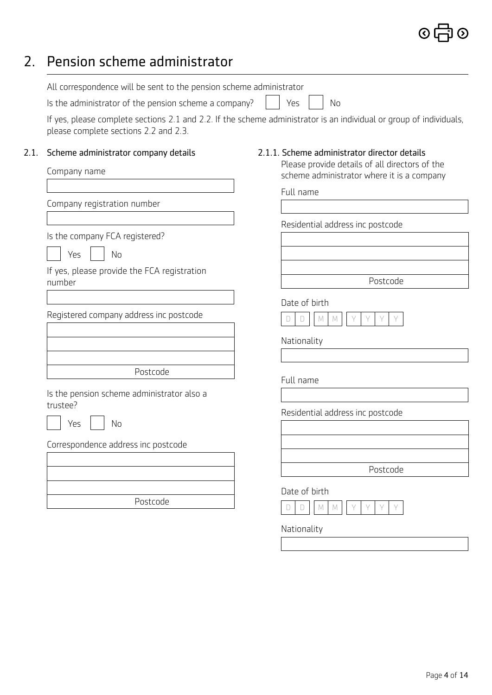# 2. Pension scheme administrator

| All correspondence will be sent to the pension scheme administrator |                                                                                                                                                           |
|---------------------------------------------------------------------|-----------------------------------------------------------------------------------------------------------------------------------------------------------|
| Is the administrator of the pension scheme a company?               | Yes<br>No                                                                                                                                                 |
| please complete sections 2.2 and 2.3.                               | If yes, please complete sections 2.1 and 2.2. If the scheme administrator is an individual or group of individuals,                                       |
| 2.1.<br>Scheme administrator company details<br>Company name        | 2.1.1. Scheme administrator director details<br>Please provide details of all directors of the<br>scheme administrator where it is a company<br>Full name |
| Company registration number                                         |                                                                                                                                                           |
|                                                                     | Residential address inc postcode                                                                                                                          |
| Is the company FCA registered?                                      |                                                                                                                                                           |
| Yes<br>No                                                           |                                                                                                                                                           |
| If yes, please provide the FCA registration<br>number               | Postcode                                                                                                                                                  |
|                                                                     | Date of birth                                                                                                                                             |
| Registered company address inc postcode                             | D<br>M                                                                                                                                                    |
|                                                                     | Nationality                                                                                                                                               |
| Postcode                                                            |                                                                                                                                                           |
| Is the pension scheme administrator also a                          | Full name                                                                                                                                                 |
| trustee?<br>No<br>Yes                                               | Residential address inc postcode                                                                                                                          |
| Correspondence address inc postcode                                 |                                                                                                                                                           |
|                                                                     | Postcode                                                                                                                                                  |
| Postcode                                                            | Date of birth<br>$\Box$<br>M<br>D<br>Y<br>M                                                                                                               |
|                                                                     | Nationality                                                                                                                                               |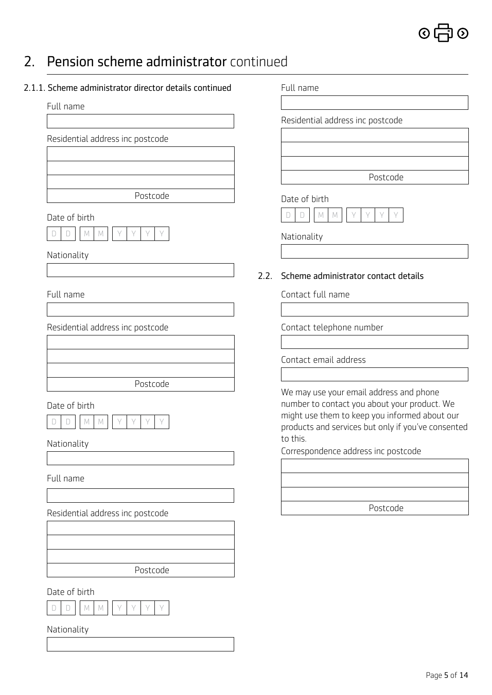

### 2. Pension scheme administrator continued

| 2.1.1. Scheme administrator director details continued |
|--------------------------------------------------------|
|--------------------------------------------------------|

#### Full name

Residential address inc postcode

Postcode

Date of birth



Nationality

### Full name

Residential address inc postcode



Date of birth

#### Nationality

Full name

Residential address inc postcode

Postcode

Date of birth

Nationality

Full name

Residential address inc postcode

Postcode

### Date of birth



Nationality

### 2.2. Scheme administrator contact details

Contact full name

Contact telephone number

Contact email address

We may use your email address and phone number to contact you about your product. We might use them to keep you informed about our products and services but only if you've consented to this.

Correspondence address inc postcode

| Postcode |  |
|----------|--|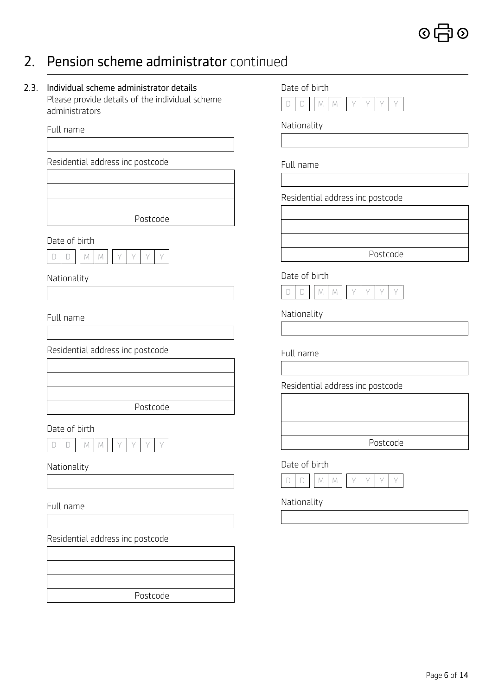### $\odot$   $\uparrow$ 刁⊙

### 2. Pension scheme administrator continued

### 2.3. Individual scheme administrator details

Please provide details of the individual scheme administrators

Full name

Residential address inc postcode

Postcode

### Date of birth



### Nationality

Full name

Residential address inc postcode

Postcode

### Date of birth



Nationality

### Full name

Residential address inc postcode



# Date of birth D D M M Y Y Y Y Nationality Full name Residential address inc postcode Postcode Date of birth  $D$   $D$   $M$   $M$ Nationality Full name Residential address inc postcode

Postcode

### Date of birth



Nationality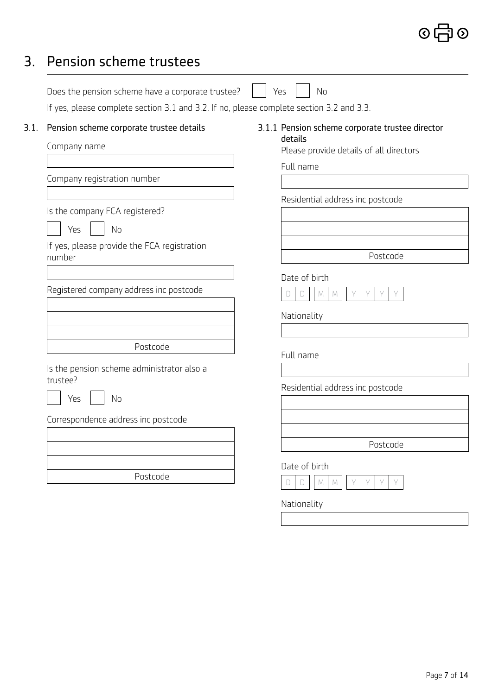## 3. Pension scheme trustees

|      | Does the pension scheme have a corporate trustee?                                        | Yes<br><b>No</b>                                   |
|------|------------------------------------------------------------------------------------------|----------------------------------------------------|
|      | If yes, please complete section 3.1 and 3.2. If no, please complete section 3.2 and 3.3. |                                                    |
| 3.1. | Pension scheme corporate trustee details                                                 | 3.1.1 Pension scheme corporate trustee director    |
|      | Company name                                                                             | details<br>Please provide details of all directors |
|      |                                                                                          | Full name                                          |
|      | Company registration number                                                              |                                                    |
|      |                                                                                          | Residential address inc postcode                   |
|      | Is the company FCA registered?                                                           |                                                    |
|      | Yes<br><b>No</b>                                                                         |                                                    |
|      | If yes, please provide the FCA registration<br>number                                    | Postcode                                           |
|      |                                                                                          |                                                    |
|      | Registered company address inc postcode                                                  | Date of birth<br>M<br>D<br>M<br>D                  |
|      |                                                                                          | Nationality                                        |
|      | Postcode                                                                                 |                                                    |
|      |                                                                                          | Full name                                          |
|      | Is the pension scheme administrator also a<br>trustee?                                   | Residential address inc postcode                   |
|      | <b>No</b><br>Yes                                                                         |                                                    |
|      | Correspondence address inc postcode                                                      |                                                    |
|      |                                                                                          | Postcode                                           |
|      |                                                                                          |                                                    |
|      | Postcode                                                                                 | Date of birth<br>$\mathbb M$<br>M<br>D             |
|      |                                                                                          | Nationality                                        |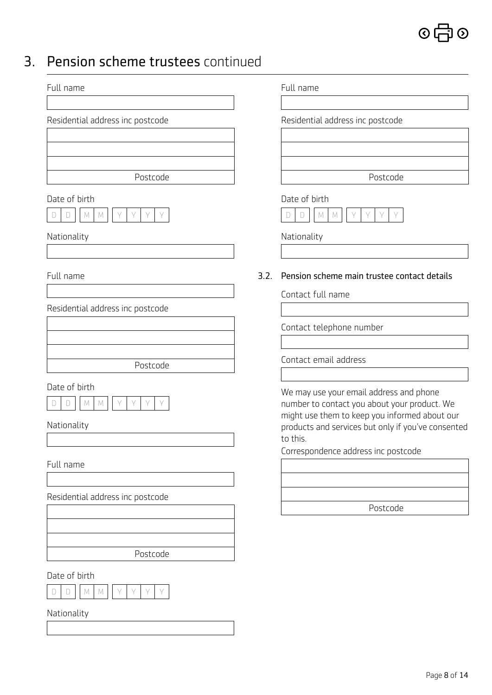

### 3. Pension scheme trustees continued

| Full name                        |      | Full name                                                                                           |
|----------------------------------|------|-----------------------------------------------------------------------------------------------------|
|                                  |      |                                                                                                     |
| Residential address inc postcode |      | Residential address inc postcode                                                                    |
|                                  |      |                                                                                                     |
|                                  |      |                                                                                                     |
| Postcode                         |      | Postcode                                                                                            |
| Date of birth                    |      | Date of birth                                                                                       |
| $\Box$<br>M<br>Y<br>Y<br>M       |      | D<br>$\mathbb M$<br>Y<br>Y<br>M                                                                     |
| Nationality                      |      | Nationality                                                                                         |
|                                  |      |                                                                                                     |
| Full name                        | 3.2. | Pension scheme main trustee contact details                                                         |
|                                  |      | Contact full name                                                                                   |
| Residential address inc postcode |      |                                                                                                     |
|                                  |      | Contact telephone number                                                                            |
|                                  |      | Contact email address                                                                               |
| Postcode                         |      |                                                                                                     |
| Date of birth                    |      | We may use your email address and phone                                                             |
| Y<br>Y<br>Y<br>M<br>D<br>M       |      | number to contact you about your product. We                                                        |
| Nationality                      |      | might use them to keep you informed about our<br>products and services but only if you've consented |
|                                  |      | to this.                                                                                            |
| Full name                        |      | Correspondence address inc postcode                                                                 |
|                                  |      |                                                                                                     |
| Residential address inc postcode |      |                                                                                                     |
|                                  |      | Postcode                                                                                            |
|                                  |      |                                                                                                     |
|                                  |      |                                                                                                     |
| Postcode                         |      |                                                                                                     |
| Date of birth                    |      |                                                                                                     |
| Y<br>Υ<br>D<br>M<br>M            |      |                                                                                                     |
| Nationality                      |      |                                                                                                     |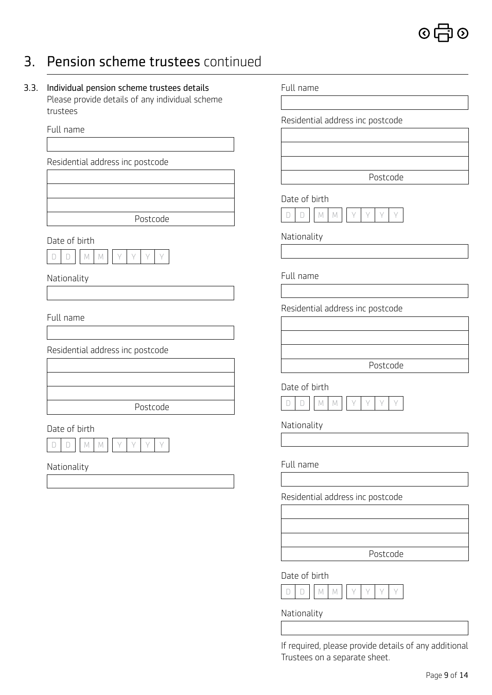

### 3. Pension scheme trustees continued

3.3. Individual pension scheme trustees details Please provide details of any individual scheme trustees

Full name

Residential address inc postcode

Postcode

Date of birth



Nationality

Full name

Residential address inc postcode

Postcode

#### Date of birth



Nationality

Full name

Residential address inc postcode

Postcode

### Date of birth



Nationality

Full name

Residential address inc postcode

Postcode

Date of birth



Nationality

Full name

Residential address inc postcode

Postcode

Date of birth

Nationality

If required, please provide details of any additional Trustees on a separate sheet.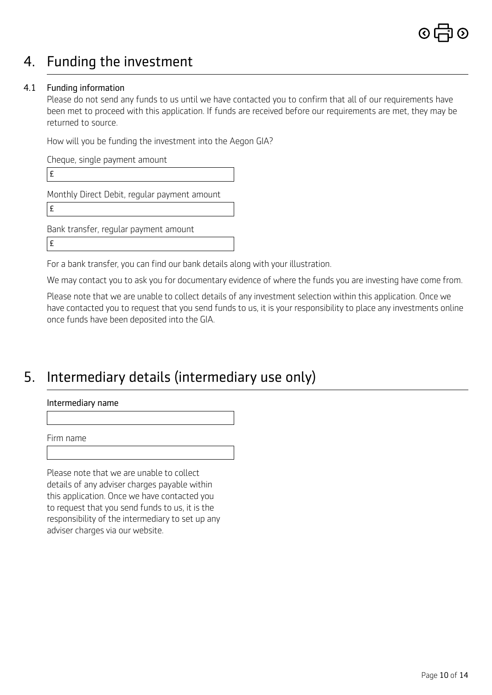## 4. Funding the investment

### 4.1 Funding information

Please do not send any funds to us until we have contacted you to confirm that all of our requirements have been met to proceed with this application. If funds are received before our requirements are met, they may be returned to source.

How will you be funding the investment into the Aegon GIA?

Cheque, single payment amount

£

Monthly Direct Debit, regular payment amount

£

Bank transfer, regular payment amount

£

For a bank transfer, you can find our bank details along with your illustration.

We may contact you to ask you for documentary evidence of where the funds you are investing have come from.

Please note that we are unable to collect details of any investment selection within this application. Once we have contacted you to request that you send funds to us, it is your responsibility to place any investments online once funds have been deposited into the GIA.

### 5. Intermediary details (intermediary use only)

Intermediary name

Firm name

Please note that we are unable to collect details of any adviser charges payable within this application. Once we have contacted you to request that you send funds to us, it is the responsibility of the intermediary to set up any adviser charges via our website.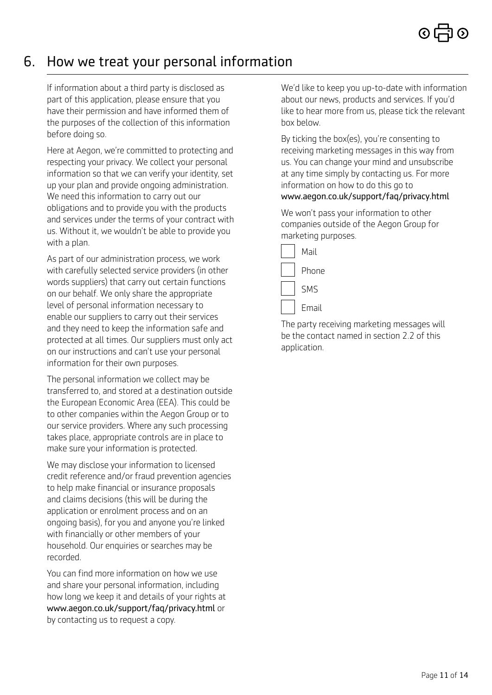### 6. How we treat your personal information

If information about a third party is disclosed as part of this application, please ensure that you have their permission and have informed them of the purposes of the collection of this information before doing so.

Here at Aegon, we're committed to protecting and respecting your privacy. We collect your personal information so that we can verify your identity, set up your plan and provide ongoing administration. We need this information to carry out our obligations and to provide you with the products and services under the terms of your contract with us. Without it, we wouldn't be able to provide you with a plan.

As part of our administration process, we work with carefully selected service providers (in other words suppliers) that carry out certain functions on our behalf. We only share the appropriate level of personal information necessary to enable our suppliers to carry out their services and they need to keep the information safe and protected at all times. Our suppliers must only act on our instructions and can't use your personal information for their own purposes.

The personal information we collect may be transferred to, and stored at a destination outside the European Economic Area (EEA). This could be to other companies within the Aegon Group or to our service providers. Where any such processing takes place, appropriate controls are in place to make sure your information is protected.

We may disclose your information to licensed credit reference and/or fraud prevention agencies to help make financial or insurance proposals and claims decisions (this will be during the application or enrolment process and on an ongoing basis), for you and anyone you're linked with financially or other members of your household. Our enquiries or searches may be recorded.

You can find more information on how we use and share your personal information, including how long we keep it and details of your rights at [www.aegon.co.uk/support/faq/privacy.html](http://www.aegon.co.uk/support/faq/privacy.html) or by contacting us to request a copy.

We'd like to keep you up-to-date with information about our news, products and services. If you'd like to hear more from us, please tick the relevant box below.

By ticking the box(es), you're consenting to receiving marketing messages in this way from us. You can change your mind and unsubscribe at any time simply by contacting us. For more information on how to do this go to [www.aegon.co.uk/support/faq/privacy.html](http://www.aegon.co.uk/support/faq/privacy.html)

We won't pass your information to other companies outside of the Aegon Group for marketing purposes.



The party receiving marketing messages will be the contact named in section 2.2 of this application.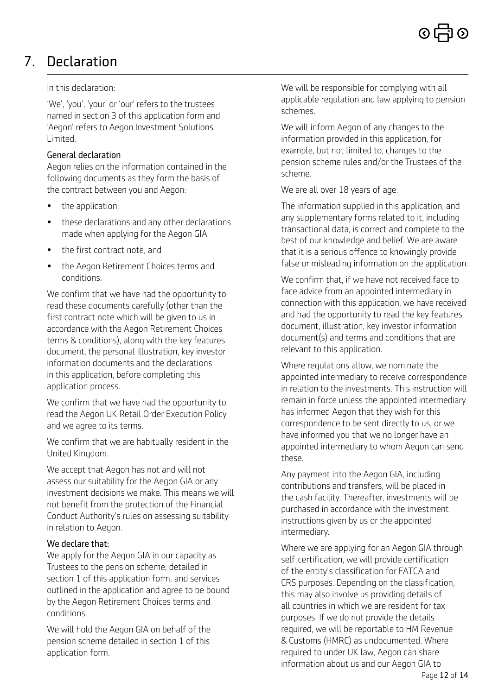# 7. Declaration

### In this declaration:

'We', 'you', 'your' or 'our' refers to the trustees named in section 3 of this application form and 'Aegon' refers to Aegon Investment Solutions Limited.

### General declaration

Aegon relies on the information contained in the following documents as they form the basis of the contract between you and Aegon:

- the application;
- these declarations and any other declarations made when applying for the Aegon GIA
- the first contract note, and
- the Aegon Retirement Choices terms and conditions.

We confirm that we have had the opportunity to read these documents carefully (other than the first contract note which will be given to us in accordance with the Aegon Retirement Choices terms & conditions), along with the key features document, the personal illustration, key investor information documents and the declarations in this application, before completing this application process.

We confirm that we have had the opportunity to read the Aegon UK Retail Order Execution Policy and we agree to its terms.

We confirm that we are habitually resident in the United Kingdom.

We accept that Aegon has not and will not assess our suitability for the Aegon GIA or any investment decisions we make. This means we will not benefit from the protection of the Financial Conduct Authority's rules on assessing suitability in relation to Aegon.

### We declare that:

We apply for the Aegon GIA in our capacity as Trustees to the pension scheme, detailed in section 1 of this application form, and services outlined in the application and agree to be bound by the Aegon Retirement Choices terms and conditions.

We will hold the Aegon GIA on behalf of the pension scheme detailed in section 1 of this application form.

We will be responsible for complying with all applicable regulation and law applying to pension schemes.

We will inform Aegon of any changes to the information provided in this application, for example, but not limited to, changes to the pension scheme rules and/or the Trustees of the scheme.

We are all over 18 years of age.

The information supplied in this application, and any supplementary forms related to it, including transactional data, is correct and complete to the best of our knowledge and belief. We are aware that it is a serious offence to knowingly provide false or misleading information on the application.

We confirm that, if we have not received face to face advice from an appointed intermediary in connection with this application, we have received and had the opportunity to read the key features document, illustration, key investor information document(s) and terms and conditions that are relevant to this application.

Where regulations allow, we nominate the appointed intermediary to receive correspondence in relation to the investments. This instruction will remain in force unless the appointed intermediary has informed Aegon that they wish for this correspondence to be sent directly to us, or we have informed you that we no longer have an appointed intermediary to whom Aegon can send these.

Any payment into the Aegon GIA, including contributions and transfers, will be placed in the cash facility. Thereafter, investments will be purchased in accordance with the investment instructions given by us or the appointed intermediary.

Where we are applying for an Aegon GIA through self-certification, we will provide certification of the entity's classification for FATCA and CRS purposes. Depending on the classification, this may also involve us providing details of all countries in which we are resident for tax purposes. If we do not provide the details required, we will be reportable to HM Revenue & Customs (HMRC) as undocumented. Where required to under UK law, Aegon can share information about us and our Aegon GIA to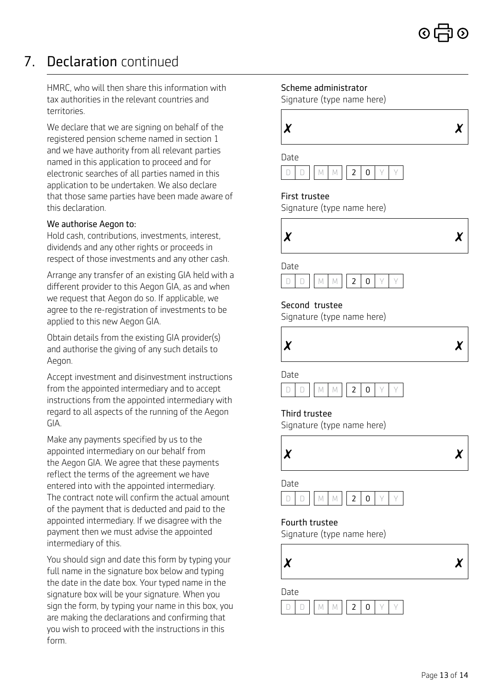# 7. Declaration continued

HMRC, who will then share this information with tax authorities in the relevant countries and territories.

We declare that we are signing on behalf of the registered pension scheme named in section 1 and we have authority from all relevant parties named in this application to proceed and for electronic searches of all parties named in this application to be undertaken. We also declare that those same parties have been made aware of this declaration.

### We authorise Aegon to:

Hold cash, contributions, investments, interest, dividends and any other rights or proceeds in respect of those investments and any other cash.

Arrange any transfer of an existing GIA held with a different provider to this Aegon GIA, as and when we request that Aegon do so. If applicable, we agree to the re-registration of investments to be applied to this new Aegon GIA.

Obtain details from the existing GIA provider(s) and authorise the giving of any such details to Aegon.

Accept investment and disinvestment instructions from the appointed intermediary and to accept instructions from the appointed intermediary with regard to all aspects of the running of the Aegon GIA.

Make any payments specified by us to the appointed intermediary on our behalf from the Aegon GIA. We agree that these payments reflect the terms of the agreement we have entered into with the appointed intermediary. The contract note will confirm the actual amount of the payment that is deducted and paid to the appointed intermediary. If we disagree with the payment then we must advise the appointed intermediary of this.

You should sign and date this form by typing your full name in the signature box below and typing the date in the date box. Your typed name in the signature box will be your signature. When you sign the form, by typing your name in this box, you are making the declarations and confirming that you wish to proceed with the instructions in this form.

### Scheme administrator

Signature (type name here)

| $\boldsymbol{\chi}$ |  | . .<br>$\boldsymbol{X}$ |
|---------------------|--|-------------------------|
|                     |  |                         |



### First trustee

Signature (type name here)



Date



### Second trustee

Signature (type name here)



Date



#### Third trustee

Signature (type name here)



### Date



#### Fourth trustee

Signature (type name here)



Date